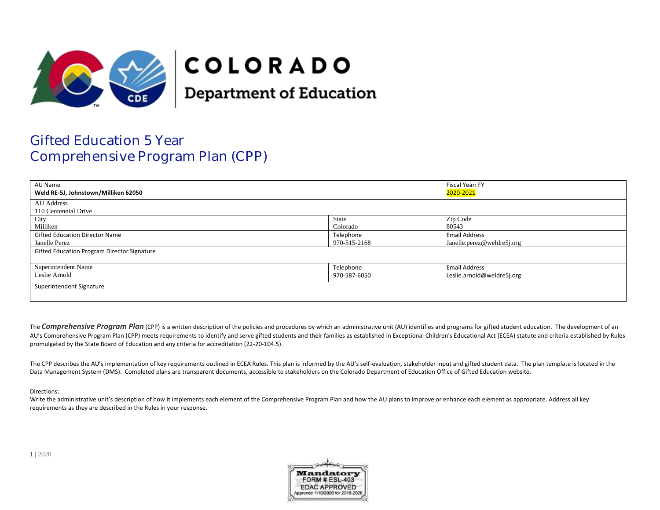

# **COLORADO**

**Department of Education** 

# Gifted Education 5 Year Comprehensive Program Plan (CPP)

| AU Name                                     |              | Fiscal Year: FY            |
|---------------------------------------------|--------------|----------------------------|
| Weld RE-5J, Johnstown/Milliken 62050        |              | 2020-2021                  |
| <b>AU</b> Address                           |              |                            |
| 110 Centennial Drive                        |              |                            |
| City                                        | State        | Zip Code                   |
| Milliken                                    | Colorado     | 80543                      |
| <b>Gifted Education Director Name</b>       | Telephone    | <b>Email Address</b>       |
| Janelle Perez                               | 970-515-2168 | Janelle.perez@weldre5j.org |
| Gifted Education Program Director Signature |              |                            |
|                                             |              |                            |
| Superintendent Name                         | Telephone    | <b>Email Address</b>       |
| Leslie Arnold                               | 970-587-6050 | Leslie.arnold@weldre5j.org |
| Superintendent Signature                    |              |                            |
|                                             |              |                            |

The **Comprehensive Program Plan** (CPP) is a written description of the policies and procedures by which an administrative unit (AU) identifies and programs for gifted student education. The development of an AU's Comprehensive Program Plan (CPP) meets requirements to identify and serve gifted students and their families as established in Exceptional Children's Educational Act (ECEA) statute and criteria established by Rules promulgated by the State Board of Education and any criteria for accreditation (22-20-104.5).

The CPP describes the AU's implementation of key requirements outlined in ECEA Rules. This plan is informed by the AU's self-evaluation, stakeholder input and gifted student data. The plan template is located in the Data Management System (DMS). Completed plans are transparent documents, accessible to stakeholders on the Colorado Department of Education Office of Gifted Education website.

#### Directions:

Write the administrative unit's description of how it implements each element of the Comprehensive Program Plan and how the AU plans to improve or enhance each element as appropriate. Address all key requirements as they are described in the Rules in your response.

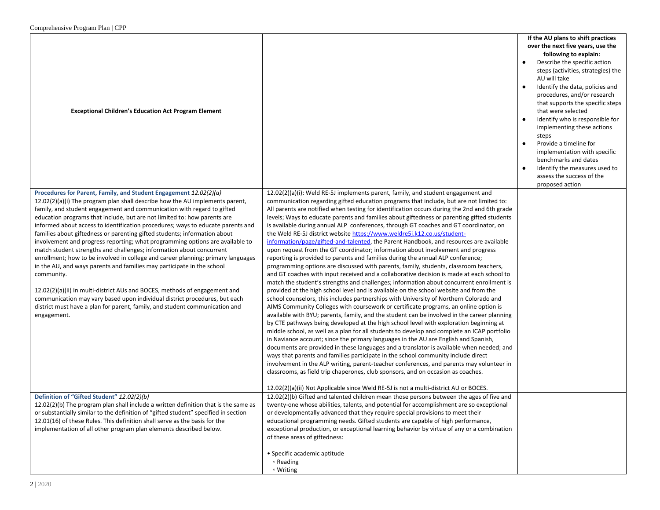| <b>Exceptional Children's Education Act Program Element</b>                                                                                               |                                                                                                                                                                                  | If the AU plans to shift practices<br>over the next five years, use the<br>following to explain:<br>Describe the specific action<br>steps (activities, strategies) the<br>AU will take<br>Identify the data, policies and<br>procedures, and/or research<br>that supports the specific steps<br>that were selected<br>Identify who is responsible for<br>implementing these actions<br>steps<br>Provide a timeline for<br>$\bullet$<br>implementation with specific<br>benchmarks and dates<br>Identify the measures used to<br>$\bullet$<br>assess the success of the<br>proposed action |
|-----------------------------------------------------------------------------------------------------------------------------------------------------------|----------------------------------------------------------------------------------------------------------------------------------------------------------------------------------|-------------------------------------------------------------------------------------------------------------------------------------------------------------------------------------------------------------------------------------------------------------------------------------------------------------------------------------------------------------------------------------------------------------------------------------------------------------------------------------------------------------------------------------------------------------------------------------------|
| Procedures for Parent, Family, and Student Engagement 12.02(2)(a)<br>12.02(2)(a)(i) The program plan shall describe how the AU implements parent,         | $12.02(2)(a)(i)$ : Weld RE-5J implements parent, family, and student engagement and<br>communication regarding gifted education programs that include, but are not limited to:   |                                                                                                                                                                                                                                                                                                                                                                                                                                                                                                                                                                                           |
| family, and student engagement and communication with regard to gifted                                                                                    | All parents are notified when testing for identification occurs during the 2nd and 6th grade                                                                                     |                                                                                                                                                                                                                                                                                                                                                                                                                                                                                                                                                                                           |
| education programs that include, but are not limited to: how parents are                                                                                  | levels; Ways to educate parents and families about giftedness or parenting gifted students                                                                                       |                                                                                                                                                                                                                                                                                                                                                                                                                                                                                                                                                                                           |
| informed about access to identification procedures; ways to educate parents and                                                                           | is available during annual ALP conferences, through GT coaches and GT coordinator, on                                                                                            |                                                                                                                                                                                                                                                                                                                                                                                                                                                                                                                                                                                           |
| families about giftedness or parenting gifted students; information about                                                                                 | the Weld RE-5J district website https://www.weldre5j.k12.co.us/student-                                                                                                          |                                                                                                                                                                                                                                                                                                                                                                                                                                                                                                                                                                                           |
| involvement and progress reporting; what programming options are available to<br>match student strengths and challenges; information about concurrent     | information/page/gifted-and-talented, the Parent Handbook, and resources are available<br>upon request from the GT coordinator; information about involvement and progress       |                                                                                                                                                                                                                                                                                                                                                                                                                                                                                                                                                                                           |
| enrollment; how to be involved in college and career planning; primary languages                                                                          | reporting is provided to parents and families during the annual ALP conference;                                                                                                  |                                                                                                                                                                                                                                                                                                                                                                                                                                                                                                                                                                                           |
| in the AU, and ways parents and families may participate in the school                                                                                    | programming options are discussed with parents, family, students, classroom teachers,                                                                                            |                                                                                                                                                                                                                                                                                                                                                                                                                                                                                                                                                                                           |
| community.                                                                                                                                                | and GT coaches with input received and a collaborative decision is made at each school to                                                                                        |                                                                                                                                                                                                                                                                                                                                                                                                                                                                                                                                                                                           |
|                                                                                                                                                           | match the student's strengths and challenges; information about concurrent enrollment is                                                                                         |                                                                                                                                                                                                                                                                                                                                                                                                                                                                                                                                                                                           |
| $12.02(2)(a)(ii)$ In multi-district AUs and BOCES, methods of engagement and                                                                              | provided at the high school level and is available on the school website and from the                                                                                            |                                                                                                                                                                                                                                                                                                                                                                                                                                                                                                                                                                                           |
| communication may vary based upon individual district procedures, but each<br>district must have a plan for parent, family, and student communication and | school counselors, this includes partnerships with University of Northern Colorado and<br>AIMS Community Colleges with coursework or certificate programs, an online option is   |                                                                                                                                                                                                                                                                                                                                                                                                                                                                                                                                                                                           |
| engagement.                                                                                                                                               | available with BYU; parents, family, and the student can be involved in the career planning                                                                                      |                                                                                                                                                                                                                                                                                                                                                                                                                                                                                                                                                                                           |
|                                                                                                                                                           | by CTE pathways being developed at the high school level with exploration beginning at                                                                                           |                                                                                                                                                                                                                                                                                                                                                                                                                                                                                                                                                                                           |
|                                                                                                                                                           | middle school, as well as a plan for all students to develop and complete an ICAP portfolio                                                                                      |                                                                                                                                                                                                                                                                                                                                                                                                                                                                                                                                                                                           |
|                                                                                                                                                           | in Naviance account; since the primary languages in the AU are English and Spanish,                                                                                              |                                                                                                                                                                                                                                                                                                                                                                                                                                                                                                                                                                                           |
|                                                                                                                                                           | documents are provided in these languages and a translator is available when needed; and<br>ways that parents and families participate in the school community include direct    |                                                                                                                                                                                                                                                                                                                                                                                                                                                                                                                                                                                           |
|                                                                                                                                                           | involvement in the ALP writing, parent-teacher conferences, and parents may volunteer in                                                                                         |                                                                                                                                                                                                                                                                                                                                                                                                                                                                                                                                                                                           |
|                                                                                                                                                           | classrooms, as field trip chaperones, club sponsors, and on occasion as coaches.                                                                                                 |                                                                                                                                                                                                                                                                                                                                                                                                                                                                                                                                                                                           |
|                                                                                                                                                           |                                                                                                                                                                                  |                                                                                                                                                                                                                                                                                                                                                                                                                                                                                                                                                                                           |
| Definition of "Gifted Student" 12.02(2)(b)                                                                                                                | 12.02(2)(a)(ii) Not Applicable since Weld RE-5J is not a multi-district AU or BOCES.<br>12.02(2)(b) Gifted and talented children mean those persons between the ages of five and |                                                                                                                                                                                                                                                                                                                                                                                                                                                                                                                                                                                           |
| 12.02(2)(b) The program plan shall include a written definition that is the same as                                                                       | twenty-one whose abilities, talents, and potential for accomplishment are so exceptional                                                                                         |                                                                                                                                                                                                                                                                                                                                                                                                                                                                                                                                                                                           |
| or substantially similar to the definition of "gifted student" specified in section                                                                       | or developmentally advanced that they require special provisions to meet their                                                                                                   |                                                                                                                                                                                                                                                                                                                                                                                                                                                                                                                                                                                           |
| 12.01(16) of these Rules. This definition shall serve as the basis for the                                                                                | educational programming needs. Gifted students are capable of high performance,                                                                                                  |                                                                                                                                                                                                                                                                                                                                                                                                                                                                                                                                                                                           |
| implementation of all other program plan elements described below.                                                                                        | exceptional production, or exceptional learning behavior by virtue of any or a combination                                                                                       |                                                                                                                                                                                                                                                                                                                                                                                                                                                                                                                                                                                           |
|                                                                                                                                                           | of these areas of giftedness:                                                                                                                                                    |                                                                                                                                                                                                                                                                                                                                                                                                                                                                                                                                                                                           |
|                                                                                                                                                           | • Specific academic aptitude                                                                                                                                                     |                                                                                                                                                                                                                                                                                                                                                                                                                                                                                                                                                                                           |
|                                                                                                                                                           | ∘ Reading                                                                                                                                                                        |                                                                                                                                                                                                                                                                                                                                                                                                                                                                                                                                                                                           |
|                                                                                                                                                           | ∘ Writing                                                                                                                                                                        |                                                                                                                                                                                                                                                                                                                                                                                                                                                                                                                                                                                           |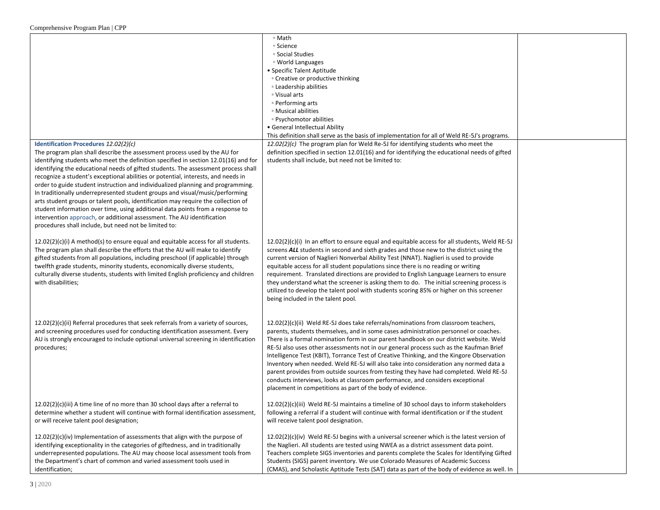|                                                                                                                                                                  | ∘ Math                                                                                                                                                                               |  |
|------------------------------------------------------------------------------------------------------------------------------------------------------------------|--------------------------------------------------------------------------------------------------------------------------------------------------------------------------------------|--|
|                                                                                                                                                                  | ∘ Science                                                                                                                                                                            |  |
|                                                                                                                                                                  | ∘ Social Studies                                                                                                                                                                     |  |
|                                                                                                                                                                  | <sup>o</sup> World Languages                                                                                                                                                         |  |
|                                                                                                                                                                  | • Specific Talent Aptitude                                                                                                                                                           |  |
|                                                                                                                                                                  | • Creative or productive thinking                                                                                                                                                    |  |
|                                                                                                                                                                  | <b>Example 1</b> Leadership abilities                                                                                                                                                |  |
|                                                                                                                                                                  | ∘ Visual arts                                                                                                                                                                        |  |
|                                                                                                                                                                  | • Performing arts                                                                                                                                                                    |  |
|                                                                                                                                                                  | • Musical abilities                                                                                                                                                                  |  |
|                                                                                                                                                                  | ∘ Psychomotor abilities                                                                                                                                                              |  |
|                                                                                                                                                                  | • General Intellectual Ability                                                                                                                                                       |  |
|                                                                                                                                                                  | This definition shall serve as the basis of implementation for all of Weld RE-5J's programs.                                                                                         |  |
| Identification Procedures 12.02(2)(c)                                                                                                                            | $12.02(2)(c)$ The program plan for Weld Re-5J for identifying students who meet the<br>definition specified in section 12.01(16) and for identifying the educational needs of gifted |  |
| The program plan shall describe the assessment process used by the AU for<br>identifying students who meet the definition specified in section 12.01(16) and for | students shall include, but need not be limited to:                                                                                                                                  |  |
| identifying the educational needs of gifted students. The assessment process shall                                                                               |                                                                                                                                                                                      |  |
| recognize a student's exceptional abilities or potential, interests, and needs in                                                                                |                                                                                                                                                                                      |  |
| order to guide student instruction and individualized planning and programming.                                                                                  |                                                                                                                                                                                      |  |
| In traditionally underrepresented student groups and visual/music/performing                                                                                     |                                                                                                                                                                                      |  |
| arts student groups or talent pools, identification may require the collection of                                                                                |                                                                                                                                                                                      |  |
| student information over time, using additional data points from a response to                                                                                   |                                                                                                                                                                                      |  |
| intervention approach, or additional assessment. The AU identification                                                                                           |                                                                                                                                                                                      |  |
| procedures shall include, but need not be limited to:                                                                                                            |                                                                                                                                                                                      |  |
|                                                                                                                                                                  |                                                                                                                                                                                      |  |
| $12.02(2)(c)(i)$ A method(s) to ensure equal and equitable access for all students.                                                                              | $12.02(2)(c)(i)$ In an effort to ensure equal and equitable access for all students, Weld RE-5J                                                                                      |  |
| The program plan shall describe the efforts that the AU will make to identify                                                                                    | screens ALL students in second and sixth grades and those new to the district using the                                                                                              |  |
| gifted students from all populations, including preschool (if applicable) through                                                                                | current version of Naglieri Nonverbal Ability Test (NNAT). Naglieri is used to provide                                                                                               |  |
| twelfth grade students, minority students, economically diverse students,                                                                                        | equitable access for all student populations since there is no reading or writing                                                                                                    |  |
| culturally diverse students, students with limited English proficiency and children                                                                              | requirement. Translated directions are provided to English Language Learners to ensure                                                                                               |  |
| with disabilities;                                                                                                                                               | they understand what the screener is asking them to do. The initial screening process is                                                                                             |  |
|                                                                                                                                                                  | utilized to develop the talent pool with students scoring 85% or higher on this screener                                                                                             |  |
|                                                                                                                                                                  | being included in the talent pool.                                                                                                                                                   |  |
|                                                                                                                                                                  |                                                                                                                                                                                      |  |
| 12.02(2)(c)(ii) Referral procedures that seek referrals from a variety of sources,                                                                               | 12.02(2)(c)(ii) Weld RE-5J does take referrals/nominations from classroom teachers,                                                                                                  |  |
| and screening procedures used for conducting identification assessment. Every                                                                                    | parents, students themselves, and in some cases administration personnel or coaches.                                                                                                 |  |
| AU is strongly encouraged to include optional universal screening in identification                                                                              | There is a formal nomination form in our parent handbook on our district website. Weld                                                                                               |  |
| procedures;                                                                                                                                                      | RE-5J also uses other assessments not in our general process such as the Kaufman Brief                                                                                               |  |
|                                                                                                                                                                  | Intelligence Test (KBIT), Torrance Test of Creative Thinking, and the Kingore Observation                                                                                            |  |
|                                                                                                                                                                  | Inventory when needed. Weld RE-5J will also take into consideration any normed data a                                                                                                |  |
|                                                                                                                                                                  | parent provides from outside sources from testing they have had completed. Weld RE-5J                                                                                                |  |
|                                                                                                                                                                  | conducts interviews, looks at classroom performance, and considers exceptional                                                                                                       |  |
|                                                                                                                                                                  | placement in competitions as part of the body of evidence.                                                                                                                           |  |
|                                                                                                                                                                  |                                                                                                                                                                                      |  |
| $12.02(2)(c)(iii)$ A time line of no more than 30 school days after a referral to                                                                                | $12.02(2)(c)(iii)$ Weld RE-5J maintains a timeline of 30 school days to inform stakeholders                                                                                          |  |
| determine whether a student will continue with formal identification assessment,                                                                                 | following a referral if a student will continue with formal identification or if the student                                                                                         |  |
| or will receive talent pool designation;                                                                                                                         | will receive talent pool designation.                                                                                                                                                |  |
|                                                                                                                                                                  |                                                                                                                                                                                      |  |
| 12.02(2)(c)(iv) Implementation of assessments that align with the purpose of                                                                                     | $12.02(2)(c)(iv)$ Weld RE-5J begins with a universal screener which is the latest version of                                                                                         |  |
| identifying exceptionality in the categories of giftedness, and in traditionally                                                                                 | the Naglieri. All students are tested using NWEA as a district assessment data point.                                                                                                |  |
| underrepresented populations. The AU may choose local assessment tools from                                                                                      | Teachers complete SIGS inventories and parents complete the Scales for Identifying Gifted                                                                                            |  |
| the Department's chart of common and varied assessment tools used in                                                                                             | Students (SIGS) parent inventory. We use Colorado Measures of Academic Success                                                                                                       |  |
| identification;                                                                                                                                                  | (CMAS), and Scholastic Aptitude Tests (SAT) data as part of the body of evidence as well. In                                                                                         |  |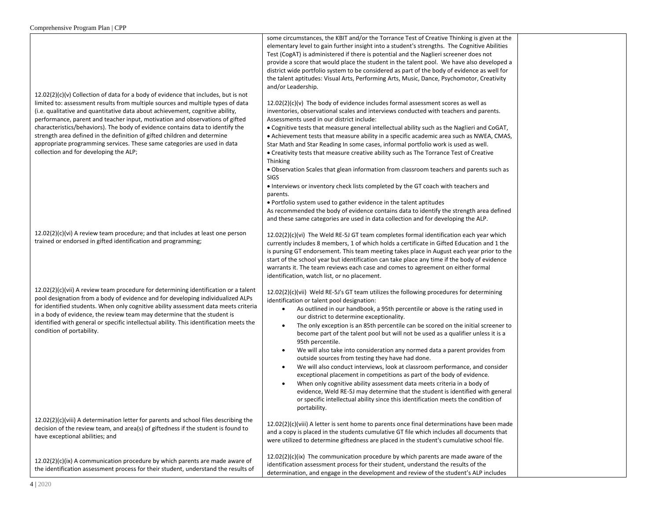| 4 2020                                                                                                                                                                                                                                                                                                                                                                                                                                                                                                                                                                                                                       |                                                                                                                                                                                                                                                                                                                                                                                                                                                                                                                                                                                                                                                                                                                                                                                                                                                                                                                                                                                                                                                                                                                                                                                                                                                                                                                                                                                                                                                                                                                                                                                          |  |
|------------------------------------------------------------------------------------------------------------------------------------------------------------------------------------------------------------------------------------------------------------------------------------------------------------------------------------------------------------------------------------------------------------------------------------------------------------------------------------------------------------------------------------------------------------------------------------------------------------------------------|------------------------------------------------------------------------------------------------------------------------------------------------------------------------------------------------------------------------------------------------------------------------------------------------------------------------------------------------------------------------------------------------------------------------------------------------------------------------------------------------------------------------------------------------------------------------------------------------------------------------------------------------------------------------------------------------------------------------------------------------------------------------------------------------------------------------------------------------------------------------------------------------------------------------------------------------------------------------------------------------------------------------------------------------------------------------------------------------------------------------------------------------------------------------------------------------------------------------------------------------------------------------------------------------------------------------------------------------------------------------------------------------------------------------------------------------------------------------------------------------------------------------------------------------------------------------------------------|--|
| 12.02(2)(c)(ix) A communication procedure by which parents are made aware of<br>the identification assessment process for their student, understand the results of                                                                                                                                                                                                                                                                                                                                                                                                                                                           | $12.02(2)(c)(ix)$ The communication procedure by which parents are made aware of the<br>identification assessment process for their student, understand the results of the<br>determination, and engage in the development and review of the student's ALP includes                                                                                                                                                                                                                                                                                                                                                                                                                                                                                                                                                                                                                                                                                                                                                                                                                                                                                                                                                                                                                                                                                                                                                                                                                                                                                                                      |  |
| 12.02(2)(c)(viii) A determination letter for parents and school files describing the<br>decision of the review team, and area(s) of giftedness if the student is found to<br>have exceptional abilities; and                                                                                                                                                                                                                                                                                                                                                                                                                 | 12.02(2)(c)(viii) A letter is sent home to parents once final determinations have been made<br>and a copy is placed in the students cumulative GT file which includes all documents that<br>were utilized to determine giftedness are placed in the student's cumulative school file.                                                                                                                                                                                                                                                                                                                                                                                                                                                                                                                                                                                                                                                                                                                                                                                                                                                                                                                                                                                                                                                                                                                                                                                                                                                                                                    |  |
| 12.02(2)(c)(vii) A review team procedure for determining identification or a talent<br>pool designation from a body of evidence and for developing individualized ALPs<br>for identified students. When only cognitive ability assessment data meets criteria<br>in a body of evidence, the review team may determine that the student is<br>identified with general or specific intellectual ability. This identification meets the<br>condition of portability.                                                                                                                                                            | $12.02(2)(c)(vii)$ Weld RE-5J's GT team utilizes the following procedures for determining<br>identification or talent pool designation:<br>As outlined in our handbook, a 95th percentile or above is the rating used in<br>our district to determine exceptionality.<br>The only exception is an 85th percentile can be scored on the initial screener to<br>$\bullet$<br>become part of the talent pool but will not be used as a qualifier unless it is a<br>95th percentile.<br>We will also take into consideration any normed data a parent provides from<br>$\bullet$<br>outside sources from testing they have had done.<br>We will also conduct interviews, look at classroom performance, and consider<br>$\bullet$<br>exceptional placement in competitions as part of the body of evidence.<br>When only cognitive ability assessment data meets criteria in a body of<br>$\bullet$<br>evidence, Weld RE-5J may determine that the student is identified with general<br>or specific intellectual ability since this identification meets the condition of<br>portability.                                                                                                                                                                                                                                                                                                                                                                                                                                                                                                   |  |
| $12.02(2)(c)(vi)$ A review team procedure; and that includes at least one person<br>trained or endorsed in gifted identification and programming;                                                                                                                                                                                                                                                                                                                                                                                                                                                                            | $12.02(2)(c)(vi)$ The Weld RE-5J GT team completes formal identification each year which<br>currently includes 8 members, 1 of which holds a certificate in Gifted Education and 1 the<br>is pursing GT endorsement. This team meeting takes place in August each year prior to the<br>start of the school year but identification can take place any time if the body of evidence<br>warrants it. The team reviews each case and comes to agreement on either formal<br>identification, watch list, or no placement.                                                                                                                                                                                                                                                                                                                                                                                                                                                                                                                                                                                                                                                                                                                                                                                                                                                                                                                                                                                                                                                                    |  |
| $12.02(2)(c)(v)$ Collection of data for a body of evidence that includes, but is not<br>limited to: assessment results from multiple sources and multiple types of data<br>(i.e. qualitative and quantitative data about achievement, cognitive ability,<br>performance, parent and teacher input, motivation and observations of gifted<br>characteristics/behaviors). The body of evidence contains data to identify the<br>strength area defined in the definition of gifted children and determine<br>appropriate programming services. These same categories are used in data<br>collection and for developing the ALP; | elementary level to gain further insight into a student's strengths. The Cognitive Abilities<br>Test (CogAT) is administered if there is potential and the Naglieri screener does not<br>provide a score that would place the student in the talent pool. We have also developed a<br>district wide portfolio system to be considered as part of the body of evidence as well for<br>the talent aptitudes: Visual Arts, Performing Arts, Music, Dance, Psychomotor, Creativity<br>and/or Leadership.<br>$12.02(2)(c)(v)$ The body of evidence includes formal assessment scores as well as<br>inventories, observational scales and interviews conducted with teachers and parents.<br>Assessments used in our district include:<br>. Cognitive tests that measure general intellectual ability such as the Naglieri and CoGAT,<br>• Achievement tests that measure ability in a specific academic area such as NWEA, CMAS,<br>Star Math and Star Reading In some cases, informal portfolio work is used as well.<br>• Creativity tests that measure creative ability such as The Torrance Test of Creative<br>Thinking<br>• Observation Scales that glean information from classroom teachers and parents such as<br><b>SIGS</b><br>• Interviews or inventory check lists completed by the GT coach with teachers and<br>parents.<br>• Portfolio system used to gather evidence in the talent aptitudes<br>As recommended the body of evidence contains data to identify the strength area defined<br>and these same categories are used in data collection and for developing the ALP. |  |
|                                                                                                                                                                                                                                                                                                                                                                                                                                                                                                                                                                                                                              | some circumstances, the KBIT and/or the Torrance Test of Creative Thinking is given at the                                                                                                                                                                                                                                                                                                                                                                                                                                                                                                                                                                                                                                                                                                                                                                                                                                                                                                                                                                                                                                                                                                                                                                                                                                                                                                                                                                                                                                                                                               |  |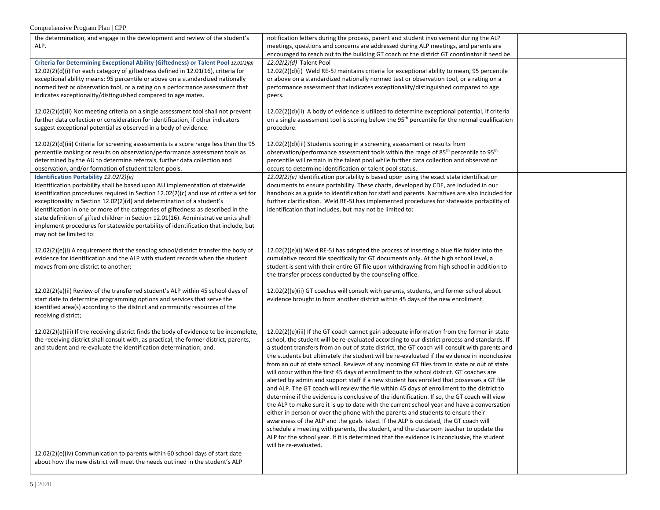| the determination, and engage in the development and review of the student's              | notification letters during the process, parent and student involvement during the ALP                       |  |
|-------------------------------------------------------------------------------------------|--------------------------------------------------------------------------------------------------------------|--|
| ALP.                                                                                      | meetings, questions and concerns are addressed during ALP meetings, and parents are                          |  |
|                                                                                           | encouraged to reach out to the building GT coach or the district GT coordinator if need be.                  |  |
| Criteria for Determining Exceptional Ability (Giftedness) or Talent Pool 12.02(2)(d)      | 12.02(2)(d) Talent Pool                                                                                      |  |
| 12.02(2)(d)(i) For each category of giftedness defined in 12.01(16), criteria for         | 12.02(2)(d)(i) Weld RE-5J maintains criteria for exceptional ability to mean, 95 percentile                  |  |
| exceptional ability means: 95 percentile or above on a standardized nationally            | or above on a standardized nationally normed test or observation tool, or a rating on a                      |  |
| normed test or observation tool, or a rating on a performance assessment that             | performance assessment that indicates exceptionality/distinguished compared to age                           |  |
| indicates exceptionality/distinguished compared to age mates.                             | peers.                                                                                                       |  |
| 12.02(2)(d)(ii) Not meeting criteria on a single assessment tool shall not prevent        | 12.02(2)(d)(ii) A body of evidence is utilized to determine exceptional potential, if criteria               |  |
| further data collection or consideration for identification, if other indicators          | on a single assessment tool is scoring below the 95 <sup>th</sup> percentile for the normal qualification    |  |
| suggest exceptional potential as observed in a body of evidence.                          | procedure.                                                                                                   |  |
| $12.02(2)(d)(iii)$ Criteria for screening assessments is a score range less than the 95   | 12.02(2)(d)(iii) Students scoring in a screening assessment or results from                                  |  |
| percentile ranking or results on observation/performance assessment tools as              | observation/performance assessment tools within the range of 85 <sup>th</sup> percentile to 95 <sup>th</sup> |  |
| determined by the AU to determine referrals, further data collection and                  | percentile will remain in the talent pool while further data collection and observation                      |  |
| observation, and/or formation of student talent pools.                                    | occurs to determine identification or talent pool status.                                                    |  |
| Identification Portability 12.02(2)(e)                                                    | 12.02(2)(e) Identification portability is based upon using the exact state identification                    |  |
| Identification portability shall be based upon AU implementation of statewide             | documents to ensure portability. These charts, developed by CDE, are included in our                         |  |
| identification procedures required in Section 12.02(2)(c) and use of criteria set for     | handbook as a guide to identification for staff and parents. Narratives are also included for                |  |
| exceptionality in Section 12.02(2)(d) and determination of a student's                    | further clarification. Weld RE-5J has implemented procedures for statewide portability of                    |  |
| identification in one or more of the categories of giftedness as described in the         | identification that includes, but may not be limited to:                                                     |  |
| state definition of gifted children in Section 12.01(16). Administrative units shall      |                                                                                                              |  |
| implement procedures for statewide portability of identification that include, but        |                                                                                                              |  |
| may not be limited to:                                                                    |                                                                                                              |  |
|                                                                                           |                                                                                                              |  |
| $12.02(2)(e)(i)$ A requirement that the sending school/district transfer the body of      | $12.02(2)(e)(i)$ Weld RE-5J has adopted the process of inserting a blue file folder into the                 |  |
| evidence for identification and the ALP with student records when the student             | cumulative record file specifically for GT documents only. At the high school level, a                       |  |
| moves from one district to another;                                                       | student is sent with their entire GT file upon withdrawing from high school in addition to                   |  |
|                                                                                           | the transfer process conducted by the counseling office.                                                     |  |
|                                                                                           |                                                                                                              |  |
| 12.02(2)(e)(ii) Review of the transferred student's ALP within 45 school days of          | 12.02(2)(e)(ii) GT coaches will consult with parents, students, and former school about                      |  |
| start date to determine programming options and services that serve the                   | evidence brought in from another district within 45 days of the new enrollment.                              |  |
| identified area(s) according to the district and community resources of the               |                                                                                                              |  |
| receiving district;                                                                       |                                                                                                              |  |
| $12.02(2)(e)(iii)$ If the receiving district finds the body of evidence to be incomplete, | 12.02(2)(e)(iii) If the GT coach cannot gain adequate information from the former in state                   |  |
| the receiving district shall consult with, as practical, the former district, parents,    | school, the student will be re-evaluated according to our district process and standards. If                 |  |
| and student and re-evaluate the identification determination; and.                        | a student transfers from an out of state district, the GT coach will consult with parents and                |  |
|                                                                                           | the students but ultimately the student will be re-evaluated if the evidence in inconclusive                 |  |
|                                                                                           | from an out of state school. Reviews of any incoming GT files from in state or out of state                  |  |
|                                                                                           | will occur within the first 45 days of enrollment to the school district. GT coaches are                     |  |
|                                                                                           | alerted by admin and support staff if a new student has enrolled that possesses a GT file                    |  |
|                                                                                           | and ALP. The GT coach will review the file within 45 days of enrollment to the district to                   |  |
|                                                                                           | determine if the evidence is conclusive of the identification. If so, the GT coach will view                 |  |
|                                                                                           | the ALP to make sure it is up to date with the current school year and have a conversation                   |  |
|                                                                                           | either in person or over the phone with the parents and students to ensure their                             |  |
|                                                                                           | awareness of the ALP and the goals listed. If the ALP is outdated, the GT coach will                         |  |
|                                                                                           | schedule a meeting with parents, the student, and the classroom teacher to update the                        |  |
|                                                                                           | ALP for the school year. If it is determined that the evidence is inconclusive, the student                  |  |
|                                                                                           | will be re-evaluated.                                                                                        |  |
| 12.02(2)(e)(iv) Communication to parents within 60 school days of start date              |                                                                                                              |  |
| about how the new district will meet the needs outlined in the student's ALP              |                                                                                                              |  |
|                                                                                           |                                                                                                              |  |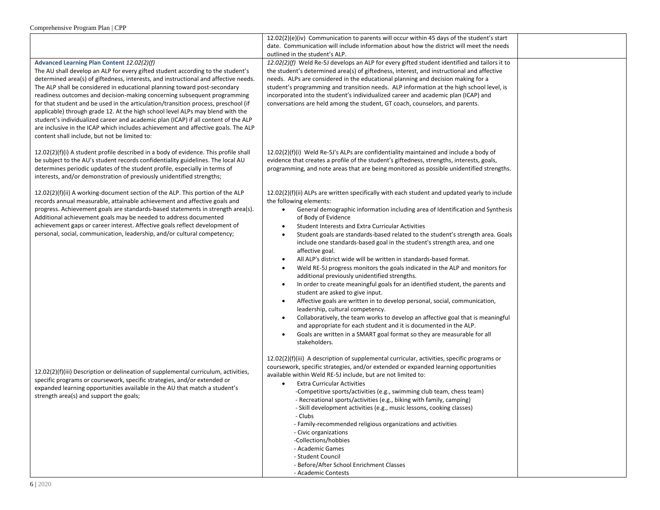|                                                                                                                                                                                                                                                                                                                                                                                                                                                                                                                                                                                                                                                                                                                                                                                   | $12.02(2)(e)(iv)$ Communication to parents will occur within 45 days of the student's start<br>date. Communication will include information about how the district will meet the needs<br>outlined in the student's ALP.                                                                                                                                                                                                                                                                                                                                                                                                                                                                                                                                                                                                                                                                                                                                                                                                                                                                                                                                                                                                                     |  |
|-----------------------------------------------------------------------------------------------------------------------------------------------------------------------------------------------------------------------------------------------------------------------------------------------------------------------------------------------------------------------------------------------------------------------------------------------------------------------------------------------------------------------------------------------------------------------------------------------------------------------------------------------------------------------------------------------------------------------------------------------------------------------------------|----------------------------------------------------------------------------------------------------------------------------------------------------------------------------------------------------------------------------------------------------------------------------------------------------------------------------------------------------------------------------------------------------------------------------------------------------------------------------------------------------------------------------------------------------------------------------------------------------------------------------------------------------------------------------------------------------------------------------------------------------------------------------------------------------------------------------------------------------------------------------------------------------------------------------------------------------------------------------------------------------------------------------------------------------------------------------------------------------------------------------------------------------------------------------------------------------------------------------------------------|--|
| Advanced Learning Plan Content 12.02(2)(f)<br>The AU shall develop an ALP for every gifted student according to the student's<br>determined area(s) of giftedness, interests, and instructional and affective needs.<br>The ALP shall be considered in educational planning toward post-secondary<br>readiness outcomes and decision-making concerning subsequent programming<br>for that student and be used in the articulation/transition process, preschool (if<br>applicable) through grade 12. At the high school level ALPs may blend with the<br>student's individualized career and academic plan (ICAP) if all content of the ALP<br>are inclusive in the ICAP which includes achievement and affective goals. The ALP<br>content shall include, but not be limited to: | 12.02(2)(f) Weld Re-5J develops an ALP for every gifted student identified and tailors it to<br>the student's determined area(s) of giftedness, interest, and instructional and affective<br>needs. ALPs are considered in the educational planning and decision making for a<br>student's programming and transition needs. ALP information at the high school level, is<br>incorporated into the student's individualized career and academic plan (ICAP) and<br>conversations are held among the student, GT coach, counselors, and parents.                                                                                                                                                                                                                                                                                                                                                                                                                                                                                                                                                                                                                                                                                              |  |
| $12.02(2)(f)(i)$ A student profile described in a body of evidence. This profile shall<br>be subject to the AU's student records confidentiality guidelines. The local AU<br>determines periodic updates of the student profile, especially in terms of<br>interests, and/or demonstration of previously unidentified strengths;                                                                                                                                                                                                                                                                                                                                                                                                                                                  | $12.02(2)(f)(i)$ Weld Re-5J's ALPs are confidentiality maintained and include a body of<br>evidence that creates a profile of the student's giftedness, strengths, interests, goals,<br>programming, and note areas that are being monitored as possible unidentified strengths.                                                                                                                                                                                                                                                                                                                                                                                                                                                                                                                                                                                                                                                                                                                                                                                                                                                                                                                                                             |  |
| 12.02(2)(f)(ii) A working-document section of the ALP. This portion of the ALP<br>records annual measurable, attainable achievement and affective goals and<br>progress. Achievement goals are standards-based statements in strength area(s).<br>Additional achievement goals may be needed to address documented<br>achievement gaps or career interest. Affective goals reflect development of<br>personal, social, communication, leadership, and/or cultural competency;                                                                                                                                                                                                                                                                                                     | 12.02(2)(f)(ii) ALPs are written specifically with each student and updated yearly to include<br>the following elements:<br>General demographic information including area of Identification and Synthesis<br>$\bullet$<br>of Body of Evidence<br>Student Interests and Extra Curricular Activities<br>$\bullet$<br>Student goals are standards-based related to the student's strength area. Goals<br>include one standards-based goal in the student's strength area, and one<br>affective goal.<br>All ALP's district wide will be written in standards-based format.<br>Weld RE-5J progress monitors the goals indicated in the ALP and monitors for<br>$\bullet$<br>additional previously unidentified strengths.<br>In order to create meaningful goals for an identified student, the parents and<br>student are asked to give input.<br>Affective goals are written in to develop personal, social, communication,<br>$\bullet$<br>leadership, cultural competency.<br>Collaboratively, the team works to develop an affective goal that is meaningful<br>$\bullet$<br>and appropriate for each student and it is documented in the ALP.<br>Goals are written in a SMART goal format so they are measurable for all<br>stakeholders. |  |
| 12.02(2)(f)(iii) Description or delineation of supplemental curriculum, activities,<br>specific programs or coursework, specific strategies, and/or extended or<br>expanded learning opportunities available in the AU that match a student's<br>strength area(s) and support the goals;                                                                                                                                                                                                                                                                                                                                                                                                                                                                                          | $12.02(2)(f)(iii)$ A description of supplemental curricular, activities, specific programs or<br>coursework, specific strategies, and/or extended or expanded learning opportunities<br>available within Weld RE-5J include, but are not limited to:<br><b>Extra Curricular Activities</b><br>$\bullet$<br>-Competitive sports/activities (e.g., swimming club team, chess team)<br>- Recreational sports/activities (e.g., biking with family, camping)<br>Skill development activities (e.g., music lessons, cooking classes)<br>- Clubs<br>- Family-recommended religious organizations and activities<br>- Civic organizations<br>-Collections/hobbies<br>- Academic Games<br>- Student Council<br>- Before/After School Enrichment Classes<br>- Academic Contests                                                                                                                                                                                                                                                                                                                                                                                                                                                                       |  |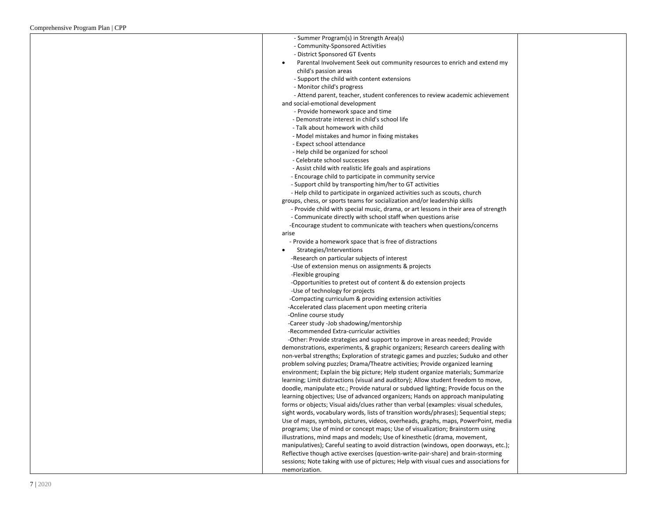| - Summer Program(s) in Strength Area(s)                                                |  |
|----------------------------------------------------------------------------------------|--|
| - Community-Sponsored Activities                                                       |  |
| - District Sponsored GT Events                                                         |  |
| Parental Involvement Seek out community resources to enrich and extend my              |  |
| child's passion areas                                                                  |  |
| - Support the child with content extensions                                            |  |
| - Monitor child's progress                                                             |  |
| - Attend parent, teacher, student conferences to review academic achievement           |  |
| and social-emotional development                                                       |  |
| - Provide homework space and time                                                      |  |
| - Demonstrate interest in child's school life                                          |  |
| - Talk about homework with child                                                       |  |
| - Model mistakes and humor in fixing mistakes                                          |  |
| - Expect school attendance                                                             |  |
| - Help child be organized for school                                                   |  |
| - Celebrate school successes                                                           |  |
| - Assist child with realistic life goals and aspirations                               |  |
| - Encourage child to participate in community service                                  |  |
| - Support child by transporting him/her to GT activities                               |  |
| - Help child to participate in organized activities such as scouts, church             |  |
| groups, chess, or sports teams for socialization and/or leadership skills              |  |
| - Provide child with special music, drama, or art lessons in their area of strength    |  |
| - Communicate directly with school staff when questions arise                          |  |
| -Encourage student to communicate with teachers when questions/concerns                |  |
| arise                                                                                  |  |
| - Provide a homework space that is free of distractions                                |  |
| Strategies/Interventions                                                               |  |
| -Research on particular subjects of interest                                           |  |
| -Use of extension menus on assignments & projects                                      |  |
| -Flexible grouping                                                                     |  |
| -Opportunities to pretest out of content & do extension projects                       |  |
| -Use of technology for projects                                                        |  |
| -Compacting curriculum & providing extension activities                                |  |
| -Accelerated class placement upon meeting criteria                                     |  |
| -Online course study                                                                   |  |
| -Career study -Job shadowing/mentorship                                                |  |
| -Recommended Extra-curricular activities                                               |  |
| -Other: Provide strategies and support to improve in areas needed; Provide             |  |
| demonstrations, experiments, & graphic organizers; Research careers dealing with       |  |
| non-verbal strengths; Exploration of strategic games and puzzles; Suduko and other     |  |
| problem solving puzzles; Drama/Theatre activities; Provide organized learning          |  |
| environment; Explain the big picture; Help student organize materials; Summarize       |  |
| learning; Limit distractions (visual and auditory); Allow student freedom to move,     |  |
| doodle, manipulate etc.; Provide natural or subdued lighting; Provide focus on the     |  |
| learning objectives; Use of advanced organizers; Hands on approach manipulating        |  |
| forms or objects; Visual aids/clues rather than verbal (examples: visual schedules,    |  |
| sight words, vocabulary words, lists of transition words/phrases); Sequential steps;   |  |
| Use of maps, symbols, pictures, videos, overheads, graphs, maps, PowerPoint, media     |  |
| programs; Use of mind or concept maps; Use of visualization; Brainstorm using          |  |
| illustrations, mind maps and models; Use of kinesthetic (drama, movement,              |  |
| manipulatives); Careful seating to avoid distraction (windows, open doorways, etc.);   |  |
| Reflective though active exercises (question-write-pair-share) and brain-storming      |  |
| sessions; Note taking with use of pictures; Help with visual cues and associations for |  |
| memorization.                                                                          |  |
|                                                                                        |  |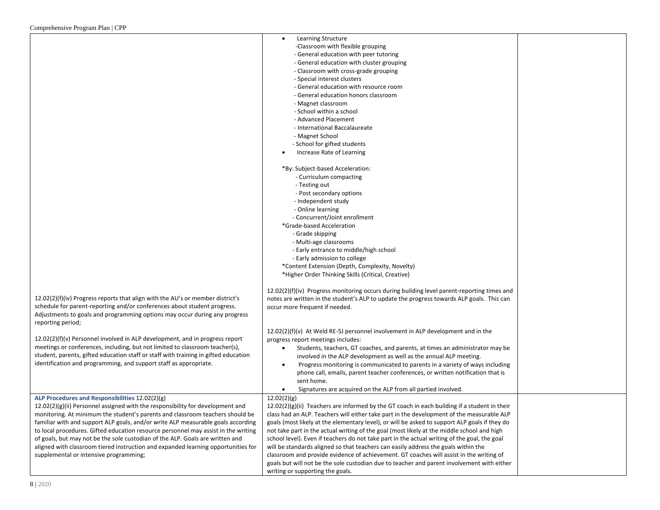|                                                                                     | Learning Structure                                                                            |  |
|-------------------------------------------------------------------------------------|-----------------------------------------------------------------------------------------------|--|
|                                                                                     | -Classroom with flexible grouping                                                             |  |
|                                                                                     | - General education with peer tutoring                                                        |  |
|                                                                                     | - General education with cluster grouping                                                     |  |
|                                                                                     | - Classroom with cross-grade grouping                                                         |  |
|                                                                                     | - Special interest clusters                                                                   |  |
|                                                                                     | - General education with resource room                                                        |  |
|                                                                                     | - General education honors classroom                                                          |  |
|                                                                                     | - Magnet classroom                                                                            |  |
|                                                                                     | - School within a school                                                                      |  |
|                                                                                     | - Advanced Placement                                                                          |  |
|                                                                                     | - International Baccalaureate                                                                 |  |
|                                                                                     |                                                                                               |  |
|                                                                                     | - Magnet School                                                                               |  |
|                                                                                     | - School for gifted students                                                                  |  |
|                                                                                     | Increase Rate of Learning                                                                     |  |
|                                                                                     | *By: Subject-based Acceleration:                                                              |  |
|                                                                                     | - Curriculum compacting                                                                       |  |
|                                                                                     | - Testing out                                                                                 |  |
|                                                                                     | - Post secondary options                                                                      |  |
|                                                                                     | - Independent study                                                                           |  |
|                                                                                     | - Online learning                                                                             |  |
|                                                                                     | - Concurrent/Joint enrollment                                                                 |  |
|                                                                                     | *Grade-based Acceleration                                                                     |  |
|                                                                                     | - Grade skipping                                                                              |  |
|                                                                                     | - Multi-age classrooms                                                                        |  |
|                                                                                     | - Early entrance to middle/high school                                                        |  |
|                                                                                     | - Early admission to college                                                                  |  |
|                                                                                     | *Content Extension (Depth, Complexity, Novelty)                                               |  |
|                                                                                     | *Higher Order Thinking Skills (Critical, Creative)                                            |  |
|                                                                                     |                                                                                               |  |
|                                                                                     | 12.02(2)(f)(iv) Progress monitoring occurs during building level parent-reporting times and   |  |
| 12.02(2)(f)(iv) Progress reports that align with the AU's or member district's      | notes are written in the student's ALP to update the progress towards ALP goals. This can     |  |
| schedule for parent-reporting and/or conferences about student progress.            | occur more frequent if needed.                                                                |  |
| Adjustments to goals and programming options may occur during any progress          |                                                                                               |  |
| reporting period;                                                                   |                                                                                               |  |
|                                                                                     | $12.02(2)(f)(v)$ At Weld RE-5J personnel involvement in ALP development and in the            |  |
| $12.02(2)(f)(v)$ Personnel involved in ALP development, and in progress report      |                                                                                               |  |
| meetings or conferences, including, but not limited to classroom teacher(s),        | progress report meetings includes:                                                            |  |
|                                                                                     | Students, teachers, GT coaches, and parents, at times an administrator may be                 |  |
| student, parents, gifted education staff or staff with training in gifted education | involved in the ALP development as well as the annual ALP meeting.                            |  |
| identification and programming, and support staff as appropriate.                   | Progress monitoring is communicated to parents in a variety of ways including<br>٠            |  |
|                                                                                     | phone call, emails, parent teacher conferences, or written notification that is               |  |
|                                                                                     | sent home.                                                                                    |  |
|                                                                                     | Signatures are acquired on the ALP from all partied involved.                                 |  |
| ALP Procedures and Responsibilities 12.02(2)(g)                                     | 12.02(2)(g)                                                                                   |  |
| 12.02(2)(g)(ii) Personnel assigned with the responsibility for development and      | 12.02(2)(g)(ii) Teachers are informed by the GT coach in each building if a student in their  |  |
| monitoring. At minimum the student's parents and classroom teachers should be       | class had an ALP. Teachers will either take part in the development of the measurable ALP     |  |
| familiar with and support ALP goals, and/or write ALP measurable goals according    | goals (most likely at the elementary level), or will be asked to support ALP goals if they do |  |
| to local procedures. Gifted education resource personnel may assist in the writing  | not take part in the actual writing of the goal (most likely at the middle school and high    |  |
| of goals, but may not be the sole custodian of the ALP. Goals are written and       | school level). Even if teachers do not take part in the actual writing of the goal, the goal  |  |
| aligned with classroom tiered instruction and expanded learning opportunities for   | will be standards aligned so that teachers can easily address the goals within the            |  |
| supplemental or intensive programming;                                              | classroom and provide evidence of achievement. GT coaches will assist in the writing of       |  |
|                                                                                     | goals but will not be the sole custodian due to teacher and parent involvement with either    |  |
|                                                                                     | writing or supporting the goals.                                                              |  |
|                                                                                     |                                                                                               |  |

т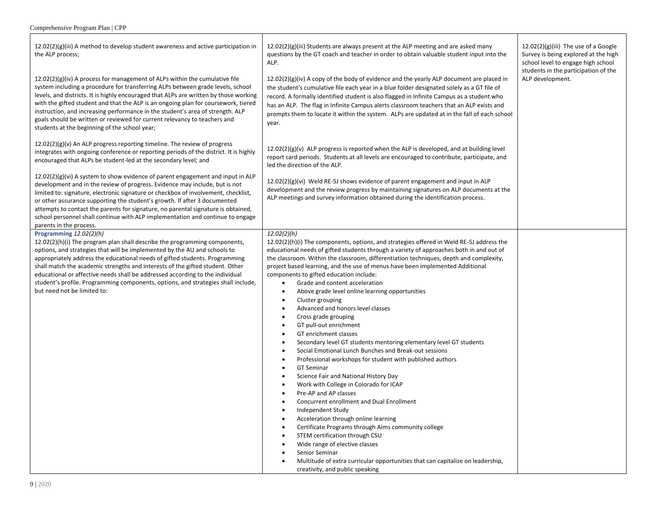- r

| $12.02(2)(g)(iii)$ A method to develop student awareness and active participation in<br>the ALP process;<br>12.02(2)(g)(iv) A process for management of ALPs within the cumulative file<br>system including a procedure for transferring ALPs between grade levels, school<br>levels, and districts. It is highly encouraged that ALPs are written by those working<br>with the gifted student and that the ALP is an ongoing plan for coursework, tiered<br>instruction, and increasing performance in the student's area of strength. ALP<br>goals should be written or reviewed for current relevancy to teachers and<br>students at the beginning of the school year; | $12.02(2)(g)(iii)$ Students are always present at the ALP meeting and are asked many<br>questions by the GT coach and teacher in order to obtain valuable student input into the<br>ALP.<br>$12.02(2)(g)(iv)$ A copy of the body of evidence and the yearly ALP document are placed in<br>the student's cumulative file each year in a blue folder designated solely as a GT file of<br>record. A formally identified student is also flagged in Infinite Campus as a student who<br>has an ALP. The flag in Infinite Campus alerts classroom teachers that an ALP exists and<br>prompts them to locate it within the system. ALPs are updated at in the fall of each school<br>year.                                                                                                                                                                                                                                                                                                                                                                                                                                                                                                                                                                                                                                                                                                  | $12.02(2)(g)(iii)$ The use of a Google<br>Survey is being explored at the high<br>school level to engage high school<br>students in the participation of the<br>ALP development. |
|---------------------------------------------------------------------------------------------------------------------------------------------------------------------------------------------------------------------------------------------------------------------------------------------------------------------------------------------------------------------------------------------------------------------------------------------------------------------------------------------------------------------------------------------------------------------------------------------------------------------------------------------------------------------------|----------------------------------------------------------------------------------------------------------------------------------------------------------------------------------------------------------------------------------------------------------------------------------------------------------------------------------------------------------------------------------------------------------------------------------------------------------------------------------------------------------------------------------------------------------------------------------------------------------------------------------------------------------------------------------------------------------------------------------------------------------------------------------------------------------------------------------------------------------------------------------------------------------------------------------------------------------------------------------------------------------------------------------------------------------------------------------------------------------------------------------------------------------------------------------------------------------------------------------------------------------------------------------------------------------------------------------------------------------------------------------------|----------------------------------------------------------------------------------------------------------------------------------------------------------------------------------|
| 12.02(2)(g)(v) An ALP progress reporting timeline. The review of progress<br>integrates with ongoing conference or reporting periods of the district. It is highly<br>encouraged that ALPs be student-led at the secondary level; and                                                                                                                                                                                                                                                                                                                                                                                                                                     | $12.02(2)(g)(v)$ ALP progress is reported when the ALP is developed, and at building level<br>report card periods. Students at all levels are encouraged to contribute, participate, and<br>led the direction of the ALP.                                                                                                                                                                                                                                                                                                                                                                                                                                                                                                                                                                                                                                                                                                                                                                                                                                                                                                                                                                                                                                                                                                                                                              |                                                                                                                                                                                  |
| $12.02(2)(g)(vi)$ A system to show evidence of parent engagement and input in ALP<br>development and in the review of progress. Evidence may include, but is not<br>limited to: signature, electronic signature or checkbox of involvement, checklist,<br>or other assurance supporting the student's growth. If after 3 documented<br>attempts to contact the parents for signature, no parental signature is obtained,<br>school personnel shall continue with ALP implementation and continue to engage<br>parents in the process.                                                                                                                                     | $12.02(2)(g)(vi)$ Weld RE-5J shows evidence of parent engagement and input in ALP<br>development and the review progress by maintaining signatures on ALP documents at the<br>ALP meetings and survey information obtained during the identification process.                                                                                                                                                                                                                                                                                                                                                                                                                                                                                                                                                                                                                                                                                                                                                                                                                                                                                                                                                                                                                                                                                                                          |                                                                                                                                                                                  |
| Programming 12.02(2)(h)<br>$12.02(2)(h)(i)$ The program plan shall describe the programming components,<br>options, and strategies that will be implemented by the AU and schools to<br>appropriately address the educational needs of gifted students. Programming<br>shall match the academic strengths and interests of the gifted student. Other<br>educational or affective needs shall be addressed according to the individual<br>student's profile. Programming components, options, and strategies shall include,<br>but need not be limited to:                                                                                                                 | 12.02(2)(h)<br>$12.02(2)(h)(i)$ The components, options, and strategies offered in Weld RE-5J address the<br>educational needs of gifted students through a variety of approaches both in and out of<br>the classroom. Within the classroom, differentiation techniques, depth and complexity,<br>project based learning, and the use of menus have been implemented Additional<br>components to gifted education include:<br>Grade and content acceleration<br>Above grade level online learning opportunities<br>Cluster grouping<br>$\bullet$<br>Advanced and honors level classes<br>Cross grade grouping<br>GT pull-out enrichment<br>GT enrichment classes<br>Secondary level GT students mentoring elementary level GT students<br>Social Emotional Lunch Bunches and Break-out sessions<br>Professional workshops for student with published authors<br><b>GT Seminar</b><br>Science Fair and National History Day<br>Work with College in Colorado for ICAP<br>$\bullet$<br>Pre-AP and AP classes<br>Concurrent enrollment and Dual Enrollment<br>Independent Study<br>Acceleration through online learning<br>Certificate Programs through Aims community college<br>STEM certification through CSU<br>Wide range of elective classes<br>Senior Seminar<br>Multitude of extra curricular opportunities that can capitalize on leadership,<br>creativity, and public speaking |                                                                                                                                                                                  |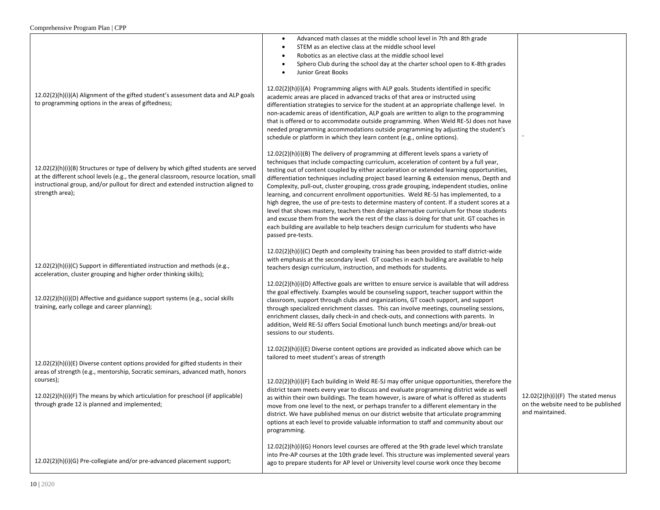|                                                                                                                                                                                                                                                                                                                  | Advanced math classes at the middle school level in 7th and 8th grade<br>STEM as an elective class at the middle school level<br>Robotics as an elective class at the middle school level<br>Sphero Club during the school day at the charter school open to K-8th grades<br>Junior Great Books                                                                                                                                                                                                                                                                                                                                                                                                                                                                                                                                                                                                                                                                  |                                                                                              |
|------------------------------------------------------------------------------------------------------------------------------------------------------------------------------------------------------------------------------------------------------------------------------------------------------------------|------------------------------------------------------------------------------------------------------------------------------------------------------------------------------------------------------------------------------------------------------------------------------------------------------------------------------------------------------------------------------------------------------------------------------------------------------------------------------------------------------------------------------------------------------------------------------------------------------------------------------------------------------------------------------------------------------------------------------------------------------------------------------------------------------------------------------------------------------------------------------------------------------------------------------------------------------------------|----------------------------------------------------------------------------------------------|
| 12.02(2)(h)(i)(A) Alignment of the gifted student's assessment data and ALP goals<br>to programming options in the areas of giftedness;                                                                                                                                                                          | $12.02(2)(h)(i)(A)$ Programming aligns with ALP goals. Students identified in specific<br>academic areas are placed in advanced tracks of that area or instructed using<br>differentiation strategies to service for the student at an appropriate challenge level. In<br>non-academic areas of identification, ALP goals are written to align to the programming<br>that is offered or to accommodate outside programming. When Weld RE-5J does not have<br>needed programming accommodations outside programming by adjusting the student's<br>schedule or platform in which they learn content (e.g., online options).                                                                                                                                                                                                                                                                                                                                        |                                                                                              |
| $12.02(2)(h)(i)(B)$ Structures or type of delivery by which gifted students are served<br>at the different school levels (e.g., the general classroom, resource location, small<br>instructional group, and/or pullout for direct and extended instruction aligned to<br>strength area);                         | 12.02(2)(h)(i)(B) The delivery of programming at different levels spans a variety of<br>techniques that include compacting curriculum, acceleration of content by a full year,<br>testing out of content coupled by either acceleration or extended learning opportunities,<br>differentiation techniques including project based learning & extension menus, Depth and<br>Complexity, pull-out, cluster grouping, cross grade grouping, independent studies, online<br>learning, and concurrent enrollment opportunities. Weld RE-5J has implemented, to a<br>high degree, the use of pre-tests to determine mastery of content. If a student scores at a<br>level that shows mastery, teachers then design alternative curriculum for those students<br>and excuse them from the work the rest of the class is doing for that unit. GT coaches in<br>each building are available to help teachers design curriculum for students who have<br>passed pre-tests. |                                                                                              |
| 12.02(2)(h)(i)(C) Support in differentiated instruction and methods (e.g.,<br>acceleration, cluster grouping and higher order thinking skills);<br>12.02(2)(h)(i)(D) Affective and guidance support systems (e.g., social skills<br>training, early college and career planning);                                | 12.02(2)(h)(i)(C) Depth and complexity training has been provided to staff district-wide<br>with emphasis at the secondary level. GT coaches in each building are available to help<br>teachers design curriculum, instruction, and methods for students.<br>$12.02(2)(h)(i)(D)$ Affective goals are written to ensure service is available that will address<br>the goal effectively. Examples would be counseling support, teacher support within the<br>classroom, support through clubs and organizations, GT coach support, and support<br>through specialized enrichment classes. This can involve meetings, counseling sessions,<br>enrichment classes, daily check-in and check-outs, and connections with parents. In<br>addition, Weld RE-5J offers Social Emotional lunch bunch meetings and/or break-out<br>sessions to our students.                                                                                                                |                                                                                              |
| 12.02(2)(h)(i)(E) Diverse content options provided for gifted students in their<br>areas of strength (e.g., mentorship, Socratic seminars, advanced math, honors<br>courses);<br>12.02(2)(h)(i)(F) The means by which articulation for preschool (if applicable)<br>through grade 12 is planned and implemented; | $12.02(2)(h)(i)(E)$ Diverse content options are provided as indicated above which can be<br>tailored to meet student's areas of strength<br>12.02(2)(h)(i)(F) Each building in Weld RE-5J may offer unique opportunities, therefore the<br>district team meets every year to discuss and evaluate programming district wide as well<br>as within their own buildings. The team however, is aware of what is offered as students<br>move from one level to the next, or perhaps transfer to a different elementary in the<br>district. We have published menus on our district website that articulate programming<br>options at each level to provide valuable information to staff and community about our<br>programming.                                                                                                                                                                                                                                      | 12.02(2)(h)(i)(F) The stated menus<br>on the website need to be published<br>and maintained. |
| 12.02(2)(h)(i)(G) Pre-collegiate and/or pre-advanced placement support;                                                                                                                                                                                                                                          | 12.02(2)(h)(i)(G) Honors level courses are offered at the 9th grade level which translate<br>into Pre-AP courses at the 10th grade level. This structure was implemented several years<br>ago to prepare students for AP level or University level course work once they become                                                                                                                                                                                                                                                                                                                                                                                                                                                                                                                                                                                                                                                                                  |                                                                                              |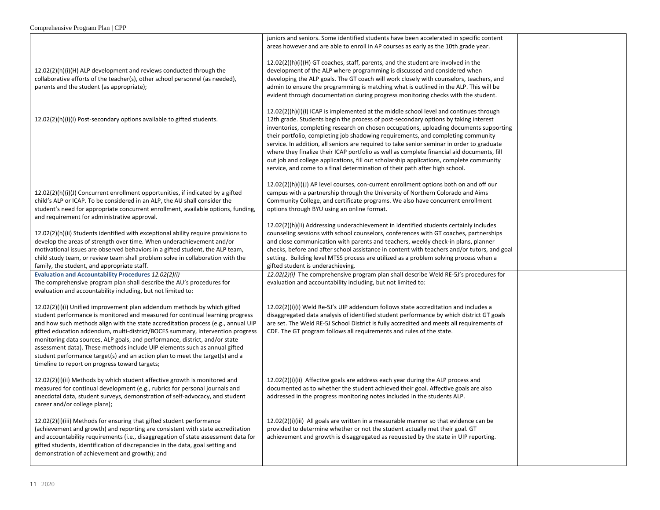|                                                                                                                                                                                                                                                                                                                                                                                                                                                                                                                                                                                                                                 | juniors and seniors. Some identified students have been accelerated in specific content<br>areas however and are able to enroll in AP courses as early as the 10th grade year.                                                                                                                                                                                                                                                                                                                                                                                                                                                                                                                                                      |  |
|---------------------------------------------------------------------------------------------------------------------------------------------------------------------------------------------------------------------------------------------------------------------------------------------------------------------------------------------------------------------------------------------------------------------------------------------------------------------------------------------------------------------------------------------------------------------------------------------------------------------------------|-------------------------------------------------------------------------------------------------------------------------------------------------------------------------------------------------------------------------------------------------------------------------------------------------------------------------------------------------------------------------------------------------------------------------------------------------------------------------------------------------------------------------------------------------------------------------------------------------------------------------------------------------------------------------------------------------------------------------------------|--|
| 12.02(2)(h)(i)(H) ALP development and reviews conducted through the<br>collaborative efforts of the teacher(s), other school personnel (as needed),<br>parents and the student (as appropriate);                                                                                                                                                                                                                                                                                                                                                                                                                                | $12.02(2)(h)(i)(H)$ GT coaches, staff, parents, and the student are involved in the<br>development of the ALP where programming is discussed and considered when<br>developing the ALP goals. The GT coach will work closely with counselors, teachers, and<br>admin to ensure the programming is matching what is outlined in the ALP. This will be<br>evident through documentation during progress monitoring checks with the student.                                                                                                                                                                                                                                                                                           |  |
| 12.02(2)(h)(i)(l) Post-secondary options available to gifted students.                                                                                                                                                                                                                                                                                                                                                                                                                                                                                                                                                          | $12.02(2)(h)(i)(l)$ ICAP is implemented at the middle school level and continues through<br>12th grade. Students begin the process of post-secondary options by taking interest<br>inventories, completing research on chosen occupations, uploading documents supporting<br>their portfolio, completing job shadowing requirements, and completing community<br>service. In addition, all seniors are required to take senior seminar in order to graduate<br>where they finalize their ICAP portfolio as well as complete financial aid documents, fill<br>out job and college applications, fill out scholarship applications, complete community<br>service, and come to a final determination of their path after high school. |  |
| 12.02(2)(h)(i)(J) Concurrent enrollment opportunities, if indicated by a gifted<br>child's ALP or ICAP. To be considered in an ALP, the AU shall consider the<br>student's need for appropriate concurrent enrollment, available options, funding,<br>and requirement for administrative approval.                                                                                                                                                                                                                                                                                                                              | $12.02(2)(h)(i)(J)$ AP level courses, con-current enrollment options both on and off our<br>campus with a partnership through the University of Northern Colorado and Aims<br>Community College, and certificate programs. We also have concurrent enrollment<br>options through BYU using an online format.                                                                                                                                                                                                                                                                                                                                                                                                                        |  |
| 12.02(2)(h)(ii) Students identified with exceptional ability require provisions to<br>develop the areas of strength over time. When underachievement and/or<br>motivational issues are observed behaviors in a gifted student, the ALP team,<br>child study team, or review team shall problem solve in collaboration with the<br>family, the student, and appropriate staff.                                                                                                                                                                                                                                                   | $12.02(2)(h)(ii)$ Addressing underachievement in identified students certainly includes<br>counseling sessions with school counselors, conferences with GT coaches, partnerships<br>and close communication with parents and teachers, weekly check-in plans, planner<br>checks, before and after school assistance in content with teachers and/or tutors, and goal<br>setting. Building level MTSS process are utilized as a problem solving process when a<br>gifted student is underachieving.                                                                                                                                                                                                                                  |  |
| Evaluation and Accountability Procedures 12.02(2)(i)<br>The comprehensive program plan shall describe the AU's procedures for<br>evaluation and accountability including, but not limited to:                                                                                                                                                                                                                                                                                                                                                                                                                                   | $12.02(2)(i)$ The comprehensive program plan shall describe Weld RE-5J's procedures for<br>evaluation and accountability including, but not limited to:                                                                                                                                                                                                                                                                                                                                                                                                                                                                                                                                                                             |  |
| 12.02(2)(i)(i) Unified improvement plan addendum methods by which gifted<br>student performance is monitored and measured for continual learning progress<br>and how such methods align with the state accreditation process (e.g., annual UIP<br>gifted education addendum, multi-district/BOCES summary, intervention progress<br>monitoring data sources, ALP goals, and performance, district, and/or state<br>assessment data). These methods include UIP elements such as annual gifted<br>student performance target(s) and an action plan to meet the target(s) and a<br>timeline to report on progress toward targets; | $12.02(2)(i)(i)$ Weld Re-5J's UIP addendum follows state accreditation and includes a<br>disaggregated data analysis of identified student performance by which district GT goals<br>are set. The Weld RE-5J School District is fully accredited and meets all requirements of<br>CDE. The GT program follows all requirements and rules of the state.                                                                                                                                                                                                                                                                                                                                                                              |  |
| 12.02(2)(i)(ii) Methods by which student affective growth is monitored and<br>measured for continual development (e.g., rubrics for personal journals and<br>anecdotal data, student surveys, demonstration of self-advocacy, and student<br>career and/or college plans);                                                                                                                                                                                                                                                                                                                                                      | 12.02(2)(i)(ii) Affective goals are address each year during the ALP process and<br>documented as to whether the student achieved their goal. Affective goals are also<br>addressed in the progress monitoring notes included in the students ALP.                                                                                                                                                                                                                                                                                                                                                                                                                                                                                  |  |
| 12.02(2)(i)(iii) Methods for ensuring that gifted student performance<br>(achievement and growth) and reporting are consistent with state accreditation<br>and accountability requirements (i.e., disaggregation of state assessment data for<br>gifted students, identification of discrepancies in the data, goal setting and<br>demonstration of achievement and growth); and                                                                                                                                                                                                                                                | $12.02(2)(i)(iii)$ All goals are written in a measurable manner so that evidence can be<br>provided to determine whether or not the student actually met their goal. GT<br>achievement and growth is disaggregated as requested by the state in UIP reporting.                                                                                                                                                                                                                                                                                                                                                                                                                                                                      |  |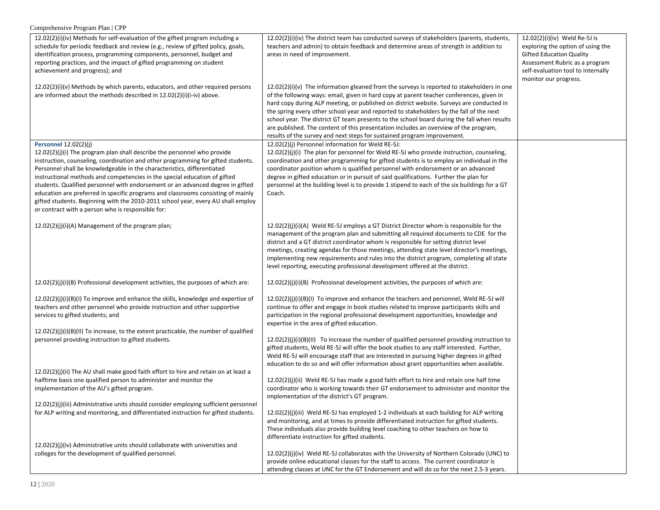| 12.02(2)(i)(iv) Methods for self-evaluation of the gifted program including a<br>schedule for periodic feedback and review (e.g., review of gifted policy, goals,<br>identification process, programming components, personnel, budget and<br>reporting practices, and the impact of gifted programming on student<br>achievement and progress); and                                                                                                                                                                                                                                                                                                                | 12.02(2)(i)(iv) The district team has conducted surveys of stakeholders (parents, students,<br>teachers and admin) to obtain feedback and determine areas of strength in addition to<br>areas in need of improvement.                                                                                                                                                                                                                                                                                                                                                                                                                             | 12.02(2)(i)(iv) Weld Re-5J is<br>exploring the option of using the<br><b>Gifted Education Quality</b><br>Assessment Rubric as a program<br>self-evaluation tool to internally<br>monitor our progress. |
|---------------------------------------------------------------------------------------------------------------------------------------------------------------------------------------------------------------------------------------------------------------------------------------------------------------------------------------------------------------------------------------------------------------------------------------------------------------------------------------------------------------------------------------------------------------------------------------------------------------------------------------------------------------------|---------------------------------------------------------------------------------------------------------------------------------------------------------------------------------------------------------------------------------------------------------------------------------------------------------------------------------------------------------------------------------------------------------------------------------------------------------------------------------------------------------------------------------------------------------------------------------------------------------------------------------------------------|--------------------------------------------------------------------------------------------------------------------------------------------------------------------------------------------------------|
| 12.02(2)(i)(v) Methods by which parents, educators, and other required persons<br>are informed about the methods described in 12.02(2)(i)(i-iv) above.                                                                                                                                                                                                                                                                                                                                                                                                                                                                                                              | $12.02(2)(i)(v)$ The information gleaned from the surveys is reported to stakeholders in one<br>of the following ways: email, given in hard copy at parent teacher conferences, given in<br>hard copy during ALP meeting, or published on district website. Surveys are conducted in<br>the spring every other school year and reported to stakeholders by the fall of the next<br>school year. The district GT team presents to the school board during the fall when results<br>are published. The content of this presentation includes an overview of the program,<br>results of the survey and next steps for sustained program improvement. |                                                                                                                                                                                                        |
| <b>Personnel 12.02(2)(j)</b><br>12.02(2)(j)(i) The program plan shall describe the personnel who provide<br>instruction, counseling, coordination and other programming for gifted students.<br>Personnel shall be knowledgeable in the characteristics, differentiated<br>instructional methods and competencies in the special education of gifted<br>students. Qualified personnel with endorsement or an advanced degree in gifted<br>education are preferred in specific programs and classrooms consisting of mainly<br>gifted students. Beginning with the 2010-2011 school year, every AU shall employ<br>or contract with a person who is responsible for: | 12.02(2)(j) Personnel information for Weld RE-5J:<br>12.02(2)(j)(i) The plan for personnel for Weld RE-5J who provide instruction, counseling,<br>coordination and other programming for gifted students is to employ an individual in the<br>coordinator position whom is qualified personnel with endorsement or an advanced<br>degree in gifted education or in pursuit of said qualifications. Further the plan for<br>personnel at the building level is to provide 1 stipend to each of the six buildings for a GT<br>Coach.                                                                                                                |                                                                                                                                                                                                        |
| 12.02(2)(j)(i)(A) Management of the program plan;                                                                                                                                                                                                                                                                                                                                                                                                                                                                                                                                                                                                                   | $12.02(2)(j)(i)(A)$ Weld RE-5J employs a GT District Director whom is responsible for the<br>management of the program plan and submitting all required documents to CDE for the<br>district and a GT district coordinator whom is responsible for setting district level<br>meetings, creating agendas for those meetings, attending state level director's meetings,<br>implementing new requirements and rules into the district program, completing all state<br>level reporting, executing professional development offered at the district.                                                                                                 |                                                                                                                                                                                                        |
| $12.02(2)(j)(i)(B)$ Professional development activities, the purposes of which are:                                                                                                                                                                                                                                                                                                                                                                                                                                                                                                                                                                                 | $12.02(2)(j)(i)(B)$ Professional development activities, the purposes of which are:                                                                                                                                                                                                                                                                                                                                                                                                                                                                                                                                                               |                                                                                                                                                                                                        |
| 12.02(2)(j)(i)(B)(I) To improve and enhance the skills, knowledge and expertise of<br>teachers and other personnel who provide instruction and other supportive<br>services to gifted students; and<br>12.02(2)(j)(i)(B)(II) To increase, to the extent practicable, the number of qualified                                                                                                                                                                                                                                                                                                                                                                        | 12.02(2)(j)(i)(B)(I) To improve and enhance the teachers and personnel, Weld RE-5J will<br>continue to offer and engage in book studies related to improve participants skills and<br>participation in the regional professional development opportunities, knowledge and<br>expertise in the area of gifted education.                                                                                                                                                                                                                                                                                                                           |                                                                                                                                                                                                        |
| personnel providing instruction to gifted students.                                                                                                                                                                                                                                                                                                                                                                                                                                                                                                                                                                                                                 | $12.02(2)(j)(i)(B)(II)$ To increase the number of qualified personnel providing instruction to<br>gifted students, Weld RE-5J will offer the book studies to any staff interested. Further,<br>Weld RE-5J will encourage staff that are interested in pursuing higher degrees in gifted<br>education to do so and will offer information about grant opportunities when available.                                                                                                                                                                                                                                                                |                                                                                                                                                                                                        |
| 12.02(2)(j)(ii) The AU shall make good faith effort to hire and retain on at least a<br>halftime basis one qualified person to administer and monitor the<br>implementation of the AU's gifted program.<br>12.02(2)(j)(iii) Administrative units should consider employing sufficient personnel                                                                                                                                                                                                                                                                                                                                                                     | $12.02(2)(j)(ii)$ Weld RE-5J has made a good faith effort to hire and retain one half time<br>coordinator who is working towards their GT endorsement to administer and monitor the<br>implementation of the district's GT program.                                                                                                                                                                                                                                                                                                                                                                                                               |                                                                                                                                                                                                        |
| for ALP writing and monitoring, and differentiated instruction for gifted students.                                                                                                                                                                                                                                                                                                                                                                                                                                                                                                                                                                                 | 12.02(2)(j)(iii) Weld RE-5J has employed 1-2 individuals at each building for ALP writing<br>and monitoring, and at times to provide differentiated instruction for gifted students.<br>These individuals also provide building level coaching to other teachers on how to<br>differentiate instruction for gifted students.                                                                                                                                                                                                                                                                                                                      |                                                                                                                                                                                                        |
| $12.02(2)(j)(iv)$ Administrative units should collaborate with universities and<br>colleges for the development of qualified personnel.                                                                                                                                                                                                                                                                                                                                                                                                                                                                                                                             | $12.02(2)(j)(iv)$ Weld RE-5J collaborates with the University of Northern Colorado (UNC) to<br>provide online educational classes for the staff to access. The current coordinator is<br>attending classes at UNC for the GT Endorsement and will do so for the next 2.5-3 years.                                                                                                                                                                                                                                                                                                                                                                 |                                                                                                                                                                                                        |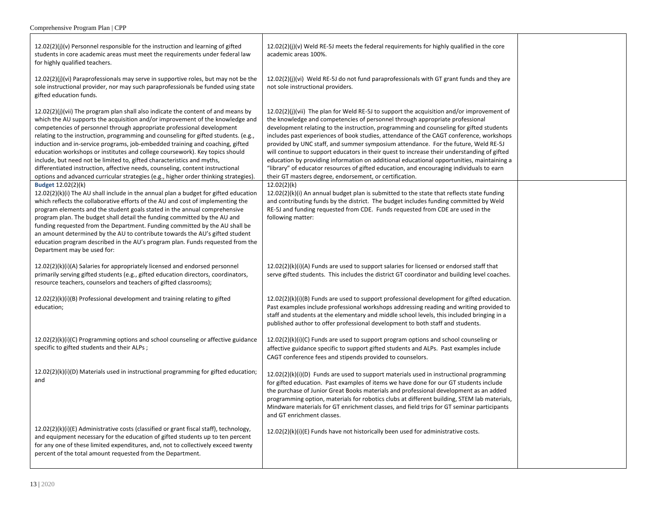| Comprehensive Program Plan   CPP |
|----------------------------------|
|                                  |

| $12.02(2)(j)(v)$ Personnel responsible for the instruction and learning of gifted<br>students in core academic areas must meet the requirements under federal law<br>for highly qualified teachers.                                                                                                                                                                                                                                                                                                                                                                                                                                                                                                                                                       | $12.02(2)(j)(v)$ Weld RE-5J meets the federal requirements for highly qualified in the core<br>academic areas 100%.                                                                                                                                                                                                                                                                                                                                                                                                                                                                                                                                                                                                                                                                                        |  |
|-----------------------------------------------------------------------------------------------------------------------------------------------------------------------------------------------------------------------------------------------------------------------------------------------------------------------------------------------------------------------------------------------------------------------------------------------------------------------------------------------------------------------------------------------------------------------------------------------------------------------------------------------------------------------------------------------------------------------------------------------------------|------------------------------------------------------------------------------------------------------------------------------------------------------------------------------------------------------------------------------------------------------------------------------------------------------------------------------------------------------------------------------------------------------------------------------------------------------------------------------------------------------------------------------------------------------------------------------------------------------------------------------------------------------------------------------------------------------------------------------------------------------------------------------------------------------------|--|
| $12.02(2)(j)(vi)$ Paraprofessionals may serve in supportive roles, but may not be the<br>sole instructional provider, nor may such paraprofessionals be funded using state<br>gifted education funds.                                                                                                                                                                                                                                                                                                                                                                                                                                                                                                                                                     | $12.02(2)(j)(vi)$ Weld RE-5J do not fund paraprofessionals with GT grant funds and they are<br>not sole instructional providers.                                                                                                                                                                                                                                                                                                                                                                                                                                                                                                                                                                                                                                                                           |  |
| $12.02(2)(j)(vii)$ The program plan shall also indicate the content of and means by<br>which the AU supports the acquisition and/or improvement of the knowledge and<br>competencies of personnel through appropriate professional development<br>relating to the instruction, programming and counseling for gifted students. (e.g.,<br>induction and in-service programs, job-embedded training and coaching, gifted<br>education workshops or institutes and college coursework). Key topics should<br>include, but need not be limited to, gifted characteristics and myths,<br>differentiated instruction, affective needs, counseling, content instructional<br>options and advanced curricular strategies (e.g., higher order thinking strategies) | $12.02(2)(j)(vii)$ The plan for Weld RE-5J to support the acquisition and/or improvement of<br>the knowledge and competencies of personnel through appropriate professional<br>development relating to the instruction, programming and counseling for gifted students<br>includes past experiences of book studies, attendance of the CAGT conference, workshops<br>provided by UNC staff, and summer symposium attendance. For the future, Weld RE-5J<br>will continue to support educators in their quest to increase their understanding of gifted<br>education by providing information on additional educational opportunities, maintaining a<br>"library" of educator resources of gifted education, and encouraging individuals to earn<br>their GT masters degree, endorsement, or certification. |  |
| Budget 12.02(2)(k)<br>$12.02(2)(k)(i)$ The AU shall include in the annual plan a budget for gifted education<br>which reflects the collaborative efforts of the AU and cost of implementing the<br>program elements and the student goals stated in the annual comprehensive<br>program plan. The budget shall detail the funding committed by the AU and<br>funding requested from the Department. Funding committed by the AU shall be<br>an amount determined by the AU to contribute towards the AU's gifted student<br>education program described in the AU's program plan. Funds requested from the<br>Department may be used for:                                                                                                                 | 12.02(2)(k)<br>$12.02(2)(k)(i)$ An annual budget plan is submitted to the state that reflects state funding<br>and contributing funds by the district. The budget includes funding committed by Weld<br>RE-5J and funding requested from CDE. Funds requested from CDE are used in the<br>following matter:                                                                                                                                                                                                                                                                                                                                                                                                                                                                                                |  |
| 12.02(2)(k)(i)(A) Salaries for appropriately licensed and endorsed personnel<br>primarily serving gifted students (e.g., gifted education directors, coordinators,<br>resource teachers, counselors and teachers of gifted classrooms);                                                                                                                                                                                                                                                                                                                                                                                                                                                                                                                   | $12.02(2)(k)(i)(A)$ Funds are used to support salaries for licensed or endorsed staff that<br>serve gifted students. This includes the district GT coordinator and building level coaches.                                                                                                                                                                                                                                                                                                                                                                                                                                                                                                                                                                                                                 |  |
| 12.02(2)(k)(i)(B) Professional development and training relating to gifted<br>education;                                                                                                                                                                                                                                                                                                                                                                                                                                                                                                                                                                                                                                                                  | $12.02(2)(k)(i)(B)$ Funds are used to support professional development for gifted education.<br>Past examples include professional workshops addressing reading and writing provided to<br>staff and students at the elementary and middle school levels, this included bringing in a<br>published author to offer professional development to both staff and students.                                                                                                                                                                                                                                                                                                                                                                                                                                    |  |
| $12.02(2)(k)(i)(C)$ Programming options and school counseling or affective guidance<br>specific to gifted students and their ALPs;                                                                                                                                                                                                                                                                                                                                                                                                                                                                                                                                                                                                                        | $12.02(2)(k)(i)(C)$ Funds are used to support program options and school counseling or<br>affective guidance specific to support gifted students and ALPs. Past examples include<br>CAGT conference fees and stipends provided to counselors.                                                                                                                                                                                                                                                                                                                                                                                                                                                                                                                                                              |  |
| $12.02(2)(k)(i)(D)$ Materials used in instructional programming for gifted education;<br>and                                                                                                                                                                                                                                                                                                                                                                                                                                                                                                                                                                                                                                                              | $12.02(2)(k)(i)(D)$ Funds are used to support materials used in instructional programming<br>for gifted education. Past examples of items we have done for our GT students include<br>the purchase of Junior Great Books materials and professional development as an added<br>programming option, materials for robotics clubs at different building, STEM lab materials,<br>Mindware materials for GT enrichment classes, and field trips for GT seminar participants<br>and GT enrichment classes.                                                                                                                                                                                                                                                                                                      |  |
| $12.02(2)(k)(i)(E)$ Administrative costs (classified or grant fiscal staff), technology,<br>and equipment necessary for the education of gifted students up to ten percent<br>for any one of these limited expenditures, and, not to collectively exceed twenty<br>percent of the total amount requested from the Department.                                                                                                                                                                                                                                                                                                                                                                                                                             | 12.02(2)(k)(i)(E) Funds have not historically been used for administrative costs.                                                                                                                                                                                                                                                                                                                                                                                                                                                                                                                                                                                                                                                                                                                          |  |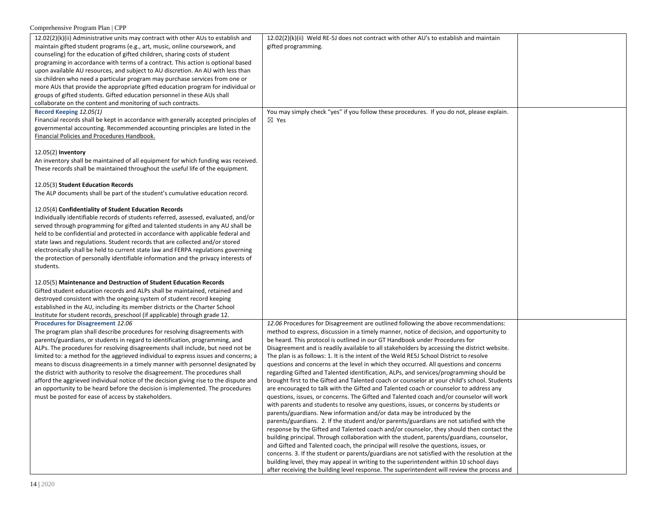| 12.02(2)(k)(ii) Administrative units may contract with other AUs to establish and     | $12.02(2)(k)(ii)$ Weld RE-5J does not contract with other AU's to establish and maintain      |  |
|---------------------------------------------------------------------------------------|-----------------------------------------------------------------------------------------------|--|
| maintain gifted student programs (e.g., art, music, online coursework, and            | gifted programming.                                                                           |  |
| counseling) for the education of gifted children, sharing costs of student            |                                                                                               |  |
| programing in accordance with terms of a contract. This action is optional based      |                                                                                               |  |
| upon available AU resources, and subject to AU discretion. An AU with less than       |                                                                                               |  |
|                                                                                       |                                                                                               |  |
| six children who need a particular program may purchase services from one or          |                                                                                               |  |
| more AUs that provide the appropriate gifted education program for individual or      |                                                                                               |  |
| groups of gifted students. Gifted education personnel in these AUs shall              |                                                                                               |  |
| collaborate on the content and monitoring of such contracts.                          |                                                                                               |  |
| Record Keeping 12.05(1)                                                               | You may simply check "yes" if you follow these procedures. If you do not, please explain.     |  |
| Financial records shall be kept in accordance with generally accepted principles of   | $\boxtimes$ Yes                                                                               |  |
|                                                                                       |                                                                                               |  |
| governmental accounting. Recommended accounting principles are listed in the          |                                                                                               |  |
| Financial Policies and Procedures Handbook.                                           |                                                                                               |  |
|                                                                                       |                                                                                               |  |
| 12.05(2) Inventory                                                                    |                                                                                               |  |
| An inventory shall be maintained of all equipment for which funding was received.     |                                                                                               |  |
| These records shall be maintained throughout the useful life of the equipment.        |                                                                                               |  |
|                                                                                       |                                                                                               |  |
|                                                                                       |                                                                                               |  |
| 12.05(3) Student Education Records                                                    |                                                                                               |  |
| The ALP documents shall be part of the student's cumulative education record.         |                                                                                               |  |
|                                                                                       |                                                                                               |  |
| 12.05(4) Confidentiality of Student Education Records                                 |                                                                                               |  |
| Individually identifiable records of students referred, assessed, evaluated, and/or   |                                                                                               |  |
|                                                                                       |                                                                                               |  |
| served through programming for gifted and talented students in any AU shall be        |                                                                                               |  |
| held to be confidential and protected in accordance with applicable federal and       |                                                                                               |  |
| state laws and regulations. Student records that are collected and/or stored          |                                                                                               |  |
| electronically shall be held to current state law and FERPA regulations governing     |                                                                                               |  |
| the protection of personally identifiable information and the privacy interests of    |                                                                                               |  |
|                                                                                       |                                                                                               |  |
| students.                                                                             |                                                                                               |  |
|                                                                                       |                                                                                               |  |
| 12.05(5) Maintenance and Destruction of Student Education Records                     |                                                                                               |  |
| Gifted student education records and ALPs shall be maintained, retained and           |                                                                                               |  |
| destroyed consistent with the ongoing system of student record keeping                |                                                                                               |  |
| established in the AU, including its member districts or the Charter School           |                                                                                               |  |
|                                                                                       |                                                                                               |  |
| Institute for student records, preschool (if applicable) through grade 12.            |                                                                                               |  |
| Procedures for Disagreement 12.06                                                     | 12.06 Procedures for Disagreement are outlined following the above recommendations:           |  |
| The program plan shall describe procedures for resolving disagreements with           | method to express, discussion in a timely manner, notice of decision, and opportunity to      |  |
| parents/guardians, or students in regard to identification, programming, and          | be heard. This protocol is outlined in our GT Handbook under Procedures for                   |  |
| ALPs. The procedures for resolving disagreements shall include, but need not be       | Disagreement and is readily available to all stakeholders by accessing the district website.  |  |
| limited to: a method for the aggrieved individual to express issues and concerns; a   | The plan is as follows: 1. It is the intent of the Weld RE5J School District to resolve       |  |
|                                                                                       |                                                                                               |  |
| means to discuss disagreements in a timely manner with personnel designated by        | questions and concerns at the level in which they occurred. All questions and concerns        |  |
| the district with authority to resolve the disagreement. The procedures shall         | regarding Gifted and Talented identification, ALPs, and services/programming should be        |  |
| afford the aggrieved individual notice of the decision giving rise to the dispute and | brought first to the Gifted and Talented coach or counselor at your child's school. Students  |  |
| an opportunity to be heard before the decision is implemented. The procedures         | are encouraged to talk with the Gifted and Talented coach or counselor to address any         |  |
| must be posted for ease of access by stakeholders.                                    | questions, issues, or concerns. The Gifted and Talented coach and/or counselor will work      |  |
|                                                                                       | with parents and students to resolve any questions, issues, or concerns by students or        |  |
|                                                                                       | parents/guardians. New information and/or data may be introduced by the                       |  |
|                                                                                       |                                                                                               |  |
|                                                                                       | parents/guardians. 2. If the student and/or parents/guardians are not satisfied with the      |  |
|                                                                                       | response by the Gifted and Talented coach and/or counselor, they should then contact the      |  |
|                                                                                       | building principal. Through collaboration with the student, parents/guardians, counselor,     |  |
|                                                                                       | and Gifted and Talented coach, the principal will resolve the questions, issues, or           |  |
|                                                                                       | concerns. 3. If the student or parents/guardians are not satisfied with the resolution at the |  |
|                                                                                       | building level, they may appeal in writing to the superintendent within 10 school days        |  |
|                                                                                       |                                                                                               |  |
|                                                                                       | after receiving the building level response. The superintendent will review the process and   |  |